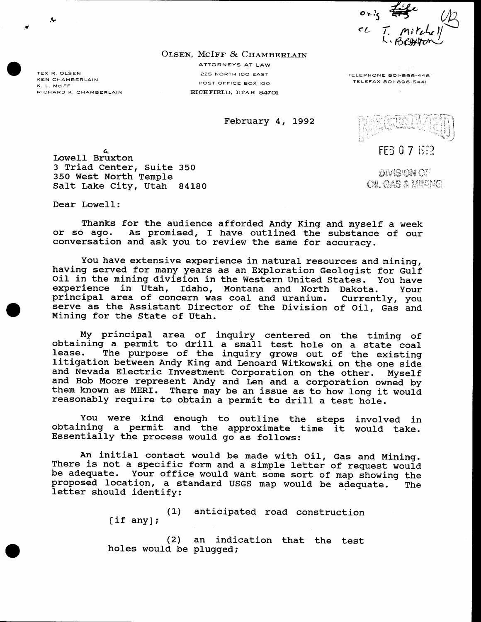$c_L$ 

TELEPHONE 801-896-4461

TELEFAX 801-896-5441

OLSEN, MCIFF & CHAMBERLAIN

TEX R. OLSEN KEN CHAMBERLAIN K. L. MCIFF RICHARD K. CHAMBERLAIN

ATTORNEYS AT LAW 225 NORTH IOO EAST POST OFFICE BOX 100 RICHFIELD, UTAH 84701

February 4, 1992



FEB 0 7 1992

 $\mathcal{L}$ Lowell Bruxton 3 Triad Center, Suite 350 350 West North Temple Salt Lake City, Utah 84180

DIVISION C.T OIL GAS & MANG

Dear Lowell:

Thanks for the audience afforded Andy King and myself a week or so ago. As promised, I have outlined the substance of our conversation and ask you to review the same for accuracy.

You have extensive experience in natural resources and mining, having served for many years as an Exploration Geologist for Gulf Oil in the mining division in the Western United States. You have experience in Utah, Idaho, Montana and North Dakota. Your principal area of concern was coal and uranium. Currently, you serve as the Assistant Director of the Division of Oil, Gas and Mining for the State of Utah.

My principal area of inquiry centered on the timing of obtaining a permit to drill a small test hole on a state coal lease. The purpose of the inquiry grows out of the existing litigation between Andy King and Lenoard Witkowski on the one side and Nevada Electric Investment Corporation on the other. Myself and Bob Moore represent Andy and Len and a corporation owned by them known as MERI. There may be an issue as to how long it would reasonably require to obtain a permit to drill a test hole.

You were kind enough to outline the steps involved in obtaining a permit and the approximate time it would take. Essentially the process would go as follows:

An initial contact would be made with Oil, Gas and Mining. There is not a specific form and a simple letter of request would be adequate. Your office would want some sort of map showing the proposed location, a standard USGS map would be adequate. **The** letter should identify:

> (1) anticipated road construction  $\int$ if any];

> (2) an indication that the test holes would be plugged;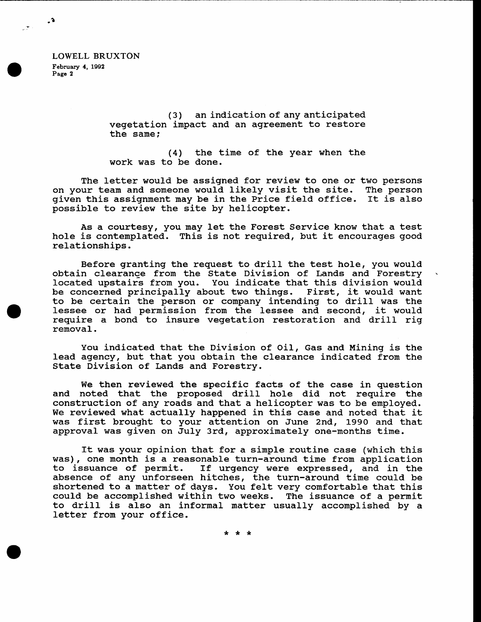LOWELL BRUXTON February 4, 1992 Page 2

 $\cdot$ 

 $\mathcal{F}^{\perp}$ 

(3) an indication of any anticipated vegetation impact and an agreement to restore the same;

(4) the time of the year when the work was to be done.

The letter would be assigned for review to one or two persons on your team and someone would likely visit the site. The person given this assignment may be in the Price field office. It is also possible to review the site by helicopter.

As a courtesy, you may let the Forest Service know that a test hole is contemplated. This is not required, but it encourages good relationships.

Before granting the request to drill the test hole, you would obtain clearanc\_e from the State Division of Lands and Forestry located upstairs from you. You indicate that this division would<br>be concerned principally about two things. First, it would want be concerned principally about two things. First, it would want<br>to be certain the person or company intending to drill was the to be certain the person or company interesting to decond, it would reguire a bond to insure vegetation restoration and drill rig removal.

You indicated that the Division of OiI, Gas and Mining is the lead agency, but that you obtain the clearance indicated from the State Division of Lands and Forestry.

We then reviewed the specific facts of the case in question and noted that the proposed drill hole did not reguire the construction of any roads and that a helicopter was to be employed.. We reviewed what actually happened in this case and noted that it was first brought to your attention on June 2nd, 1990 and that approval was given on July 3rd, approximately one-months time.

It was your opinion that for a simple routine case (which this was), one month is a reasonable turn-around time from application to issuance of permit. If urgency were expressed, and in the absence of any unforseen hitches, the turn-around time could be shortened to a matter of days. You felt very comfortable that this could be accomplished within two weeks. The issuance of a permit to drill is also an informal matter usually accomplished by <sup>a</sup> letter from your office.

\*\*\*